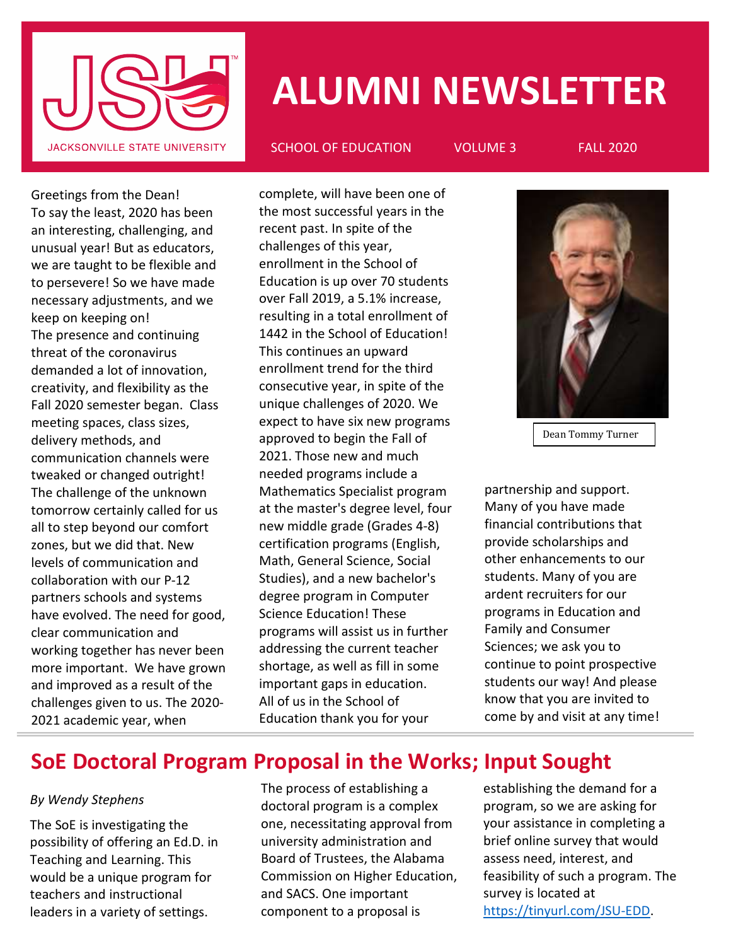

# **ALUMNI NEWSLETTER**

SCHOOL OF EDUCATION VOLUME 3 FALL 2020

Greetings from the Dean! To say the least, 2020 has been an interesting, challenging, and unusual year! But as educators, we are taught to be flexible and to persevere! So we have made necessary adjustments, and we keep on keeping on! The presence and continuing threat of the coronavirus demanded a lot of innovation, creativity, and flexibility as the Fall 2020 semester began. Class meeting spaces, class sizes, delivery methods, and communication channels were tweaked or changed outright! The challenge of the unknown tomorrow certainly called for us all to step beyond our comfort zones, but we did that. New levels of communication and collaboration with our P-12 partners schools and systems have evolved. The need for good, clear communication and working together has never been more important. We have grown and improved as a result of the challenges given to us. The 2020- 2021 academic year, when

complete, will have been one of the most successful years in the recent past. In spite of the challenges of this year, enrollment in the School of Education is up over 70 students over Fall 2019, a 5.1% increase, resulting in a total enrollment of 1442 in the School of Education! This continues an upward enrollment trend for the third consecutive year, in spite of the unique challenges of 2020. We expect to have six new programs approved to begin the Fall of 2021. Those new and much needed programs include a Mathematics Specialist program at the master's degree level, four new middle grade (Grades 4-8) certification programs (English, Math, General Science, Social Studies), and a new bachelor's degree program in Computer Science Education! These programs will assist us in further addressing the current teacher shortage, as well as fill in some important gaps in education. All of us in the School of Education thank you for your



Dean Tommy Turner

partnership and support. Many of you have made financial contributions that provide scholarships and other enhancements to our students. Many of you are ardent recruiters for our programs in Education and Family and Consumer Sciences; we ask you to continue to point prospective students our way! And please know that you are invited to come by and visit at any time!

#### **SoE Doctoral Program Proposal in the Works; Input Sought** coposar in the  $\eta$

#### *By Wendy Stephens*

The SoE is investigating the possibility of offering an Ed.D. in Teaching and Learning. This would be a unique program for teachers and instructional leaders in a variety of settings.

The process of establishing a doctoral program is a complex one, necessitating approval from university administration and Board of Trustees, the Alabama Commission on Higher Education, and SACS. One important component to a proposal is

partnership and support. Many

establishing the demand for a program, so we are asking for your assistance in completing a brief online survey that would assess need, interest, and feasibility of such a program. The survey is located at [https://tinyurl.com/JSU-EDD.](https://tinyurl.com/JSU-EDD)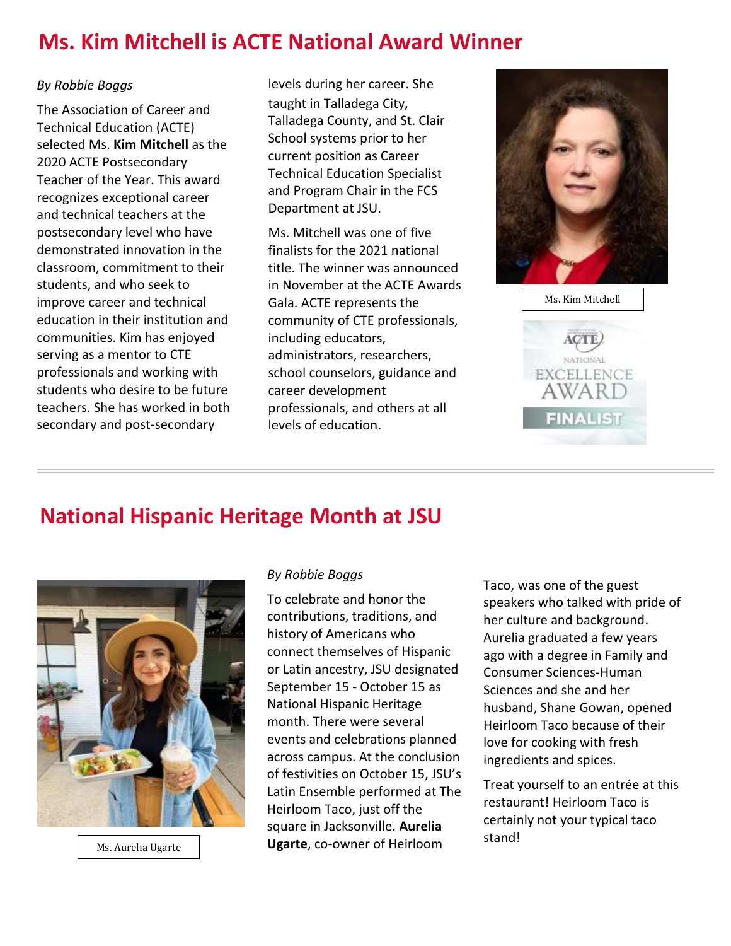# **Ms. Kim Mitchell is ACTE National Award Winner**

#### *By Robbie Boggs*

The Association of Career and Technical Education (ACTE) selected Ms. **Kim Mitchell** as the 2020 ACTE Postsecondary Teacher of the Year. This award recognizes exceptional career and technical teachers at the postsecondary level who have demonstrated innovation in the classroom, commitment to their students, and who seek to improve career and technical education in their institution and communities. Kim has enjoyed serving as a mentor to CTE professionals and working with students who desire to be future teachers. She has worked in both secondary and post-secondary

levels during her career. She taught in Talladega City, Talladega County, and St. Clair School systems prior to her current position as Career Technical Education Specialist and Program Chair in the FCS Department at JSU.

Ms. Mitchell was one of five finalists for the 2021 national title. The winner was announced in November at the ACTE Awards Gala. ACTE represents the community of CTE professionals, including educators, administrators, researchers, school counselors, guidance and career development professionals, and others at all levels of education.



Ms. Kim Mitchell

**EXCELLENCE AWART** 

**FINALIST** 

# **National Hispanic Heritage Month at JSU**



Ms. Aurelia Ugarte

#### *By Robbie Boggs*

To celebrate and honor the contributions, traditions, and history of Americans who connect themselves of Hispanic or Latin ancestry, JSU designated September 15 - October 15 as National Hispanic Heritage month. There were several events and celebrations planned across campus. At the conclusion of festivities on October 15, JSU's Latin Ensemble performed at The Heirloom Taco, just off the square in Jacksonville. **Aurelia Ugarte**, co-owner of Heirloom

Taco, was one of the guest speakers who talked with pride of her culture and background. Aurelia graduated a few years ago with a degree in Family and Consumer Sciences-Human Sciences and she and her husband, Shane Gowan, opened Heirloom Taco because of their love for cooking with fresh ingredients and spices.

Treat yourself to an entrée at this restaurant! Heirloom Taco is certainly not your typical taco stand!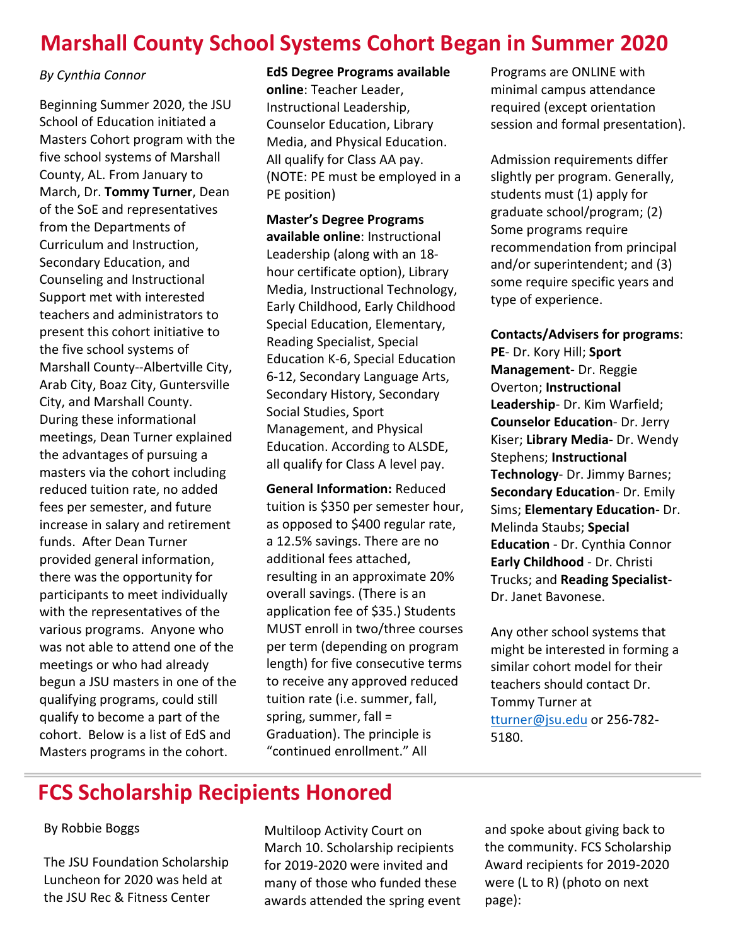# **Marshall County School Systems Cohort Began in Summer 2020**

#### *By Cynthia Connor*

Beginning Summer 2020, the JSU School of Education initiated a Masters Cohort program with the five school systems of Marshall County, AL. From January to March, Dr. **Tommy Turner**, Dean of the SoE and representatives from the Departments of Curriculum and Instruction, Secondary Education, and Counseling and Instructional Support met with interested teachers and administrators to present this cohort initiative to the five school systems of Marshall County--Albertville City, Arab City, Boaz City, Guntersville City, and Marshall County. During these informational meetings, Dean Turner explained the advantages of pursuing a masters via the cohort including reduced tuition rate, no added fees per semester, and future increase in salary and retirement funds. After Dean Turner provided general information, there was the opportunity for participants to meet individually with the representatives of the various programs. Anyone who was not able to attend one of the meetings or who had already begun a JSU masters in one of the qualifying programs, could still qualify to become a part of the cohort. Below is a list of EdS and Masters programs in the cohort.

#### **EdS Degree Programs available online**: Teacher Leader, Instructional Leadership, Counselor Education, Library Media, and Physical Education. All qualify for Class AA pay. (NOTE: PE must be employed in a PE position)

**Master's Degree Programs available online**: Instructional Leadership (along with an 18 hour certificate option), Library Media, Instructional Technology, Early Childhood, Early Childhood Special Education, Elementary, Reading Specialist, Special Education K-6, Special Education 6-12, Secondary Language Arts, Secondary History, Secondary Social Studies, Sport Management, and Physical Education. According to ALSDE, all qualify for Class A level pay.

**General Information:** Reduced tuition is \$350 per semester hour, as opposed to \$400 regular rate, a 12.5% savings. There are no additional fees attached, resulting in an approximate 20% overall savings. (There is an application fee of \$35.) Students MUST enroll in two/three courses per term (depending on program length) for five consecutive terms to receive any approved reduced tuition rate (i.e. summer, fall, spring, summer, fall = Graduation). The principle is "continued enrollment." All

Programs are ONLINE with minimal campus attendance required (except orientation session and formal presentation).

Admission requirements differ slightly per program. Generally, students must (1) apply for graduate school/program; (2) Some programs require recommendation from principal and/or superintendent; and (3) some require specific years and type of experience.

**Contacts/Advisers for programs**: **PE**- Dr. Kory Hill; **Sport Management**- Dr. Reggie Overton; **Instructional Leadership**- Dr. Kim Warfield; **Counselor Education**- Dr. Jerry Kiser; **Library Media**- Dr. Wendy Stephens; **Instructional Technology**- Dr. Jimmy Barnes; **Secondary Education**- Dr. Emily Sims; **Elementary Education**- Dr. Melinda Staubs; **Special Education** - Dr. Cynthia Connor **Early Childhood** - Dr. Christi Trucks; and **Reading Specialist**-Dr. Janet Bavonese.

Any other school systems that might be interested in forming a similar cohort model for their teachers should contact Dr. Tommy Turner at [tturner@jsu.edu](mailto:tturner@jsu.edu) or 256-782- 5180.

# **FCS Scholarship Recipients Honored**

#### By Robbie Boggs

The JSU Foundation Scholarship Luncheon for 2020 was held at the JSU Rec & Fitness Center

Multiloop Activity Court on March 10. Scholarship recipients for 2019-2020 were invited and many of those who funded these awards attended the spring event and spoke about giving back to the community. FCS Scholarship Award recipients for 2019-2020 were (L to R) (photo on next page):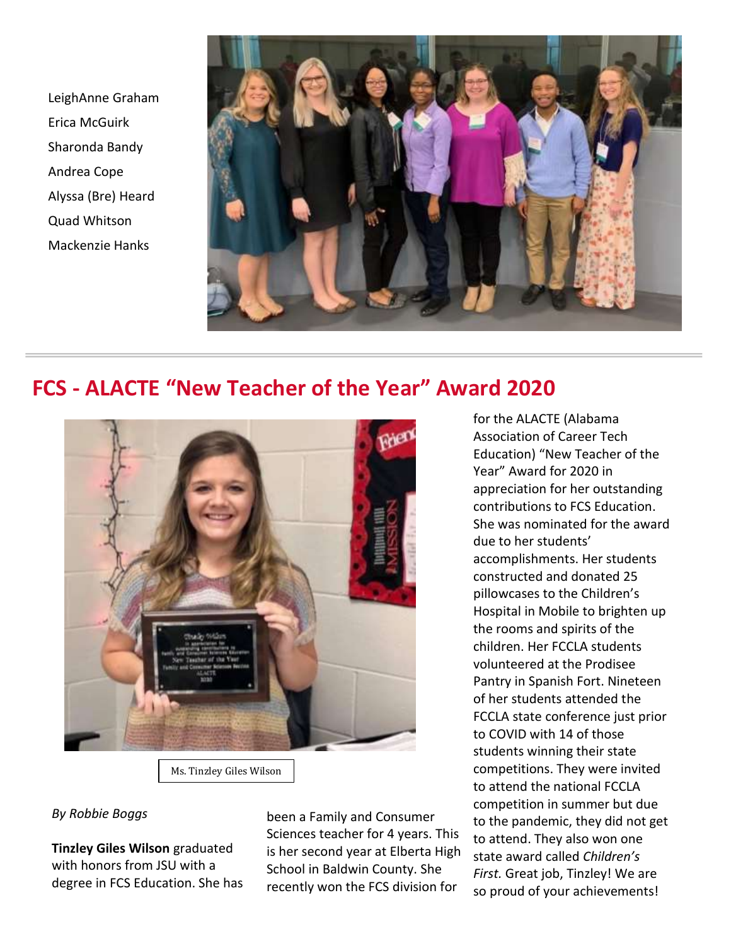LeighAnne Graham Erica McGuirk Sharonda Bandy Andrea Cope Alyssa (Bre) Heard Quad Whitson Mackenzie Hanks



### **FCS - ALACTE "New Teacher of the Year" Award 2020**



Ms. Tinzley Giles Wilson

#### *By Robbie Boggs*

**Tinzley Giles Wilson** graduated with honors from JSU with a degree in FCS Education. She has been a Family and Consumer Sciences teacher for 4 years. This is her second year at Elberta High School in Baldwin County. She recently won the FCS division for

for the ALACTE (Alabama Association of Career Tech Education) "New Teacher of the Year" Award for 2020 in appreciation for her outstanding contributions to FCS Education. She was nominated for the award due to her students' accomplishments. Her students constructed and donated 25 pillowcases to the Children's Hospital in Mobile to brighten up the rooms and spirits of the children. Her FCCLA students volunteered at the Prodisee Pantry in Spanish Fort. Nineteen of her students attended the FCCLA state conference just prior to COVID with 14 of those students winning their state competitions. They were invited to attend the national FCCLA competition in summer but due to the pandemic, they did not get to attend. They also won one state award called *Children's First.* Great job, Tinzley! We are so proud of your achievements!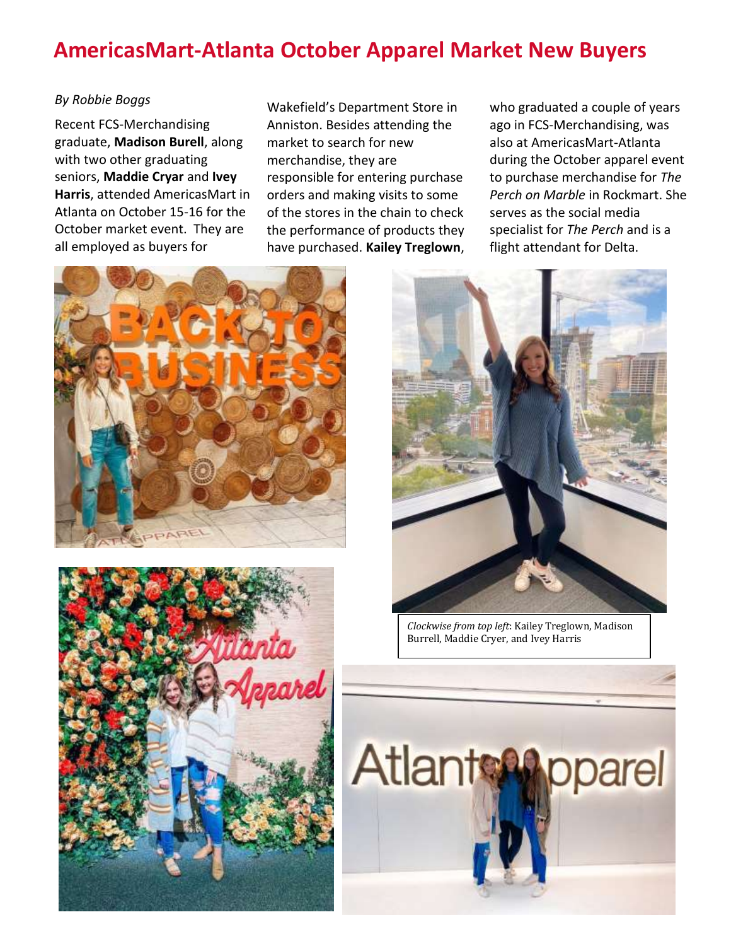# **AmericasMart-Atlanta October Apparel Market New Buyers**

#### *By Robbie Boggs*

Recent FCS-Merchandising graduate, **Madison Burell**, along with two other graduating seniors, **Maddie Cryar** and **Ivey Harris**, attended AmericasMart in Atlanta on October 15-16 for the October market event. They are all employed as buyers for

Wakefield's Department Store in Anniston. Besides attending the market to search for new merchandise, they are responsible for entering purchase orders and making visits to some of the stores in the chain to check the performance of products they have purchased. **Kailey Treglown**,

who graduated a couple of years ago in FCS-Merchandising, was also at AmericasMart-Atlanta during the October apparel event to purchase merchandise for *The Perch on Marble* in Rockmart. She serves as the social media specialist for *The Perch* and is a flight attendant for Delta.







*Clockwise from top left*: Kailey Treglown, Madison Burrell, Maddie Cryer, and Ivey Harris

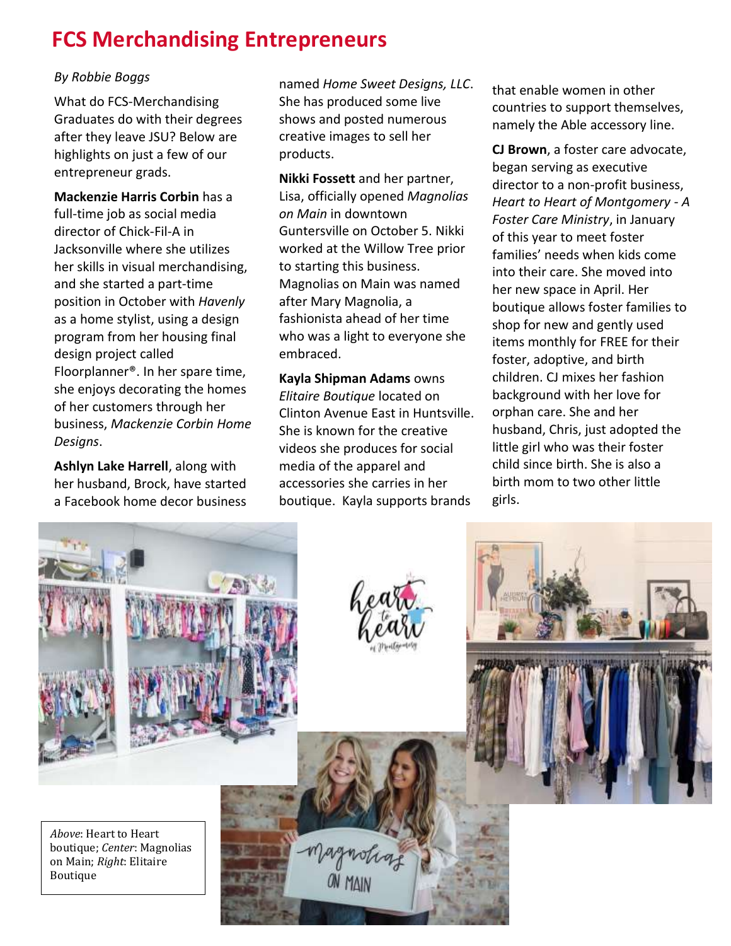# **FCS Merchandising Entrepreneurs**

#### *By Robbie Boggs*

What do FCS-Merchandising Graduates do with their degrees after they leave JSU? Below are highlights on just a few of our entrepreneur grads.

**Mackenzie Harris Corbin** has a full-time job as social media director of Chick-Fil-A in Jacksonville where she utilizes her skills in visual merchandising, and she started a part-time position in October with *Havenly* as a home stylist, using a design program from her housing final design project called Floorplanner®. In her spare time, she enjoys decorating the homes of her customers through her business, *Mackenzie Corbin Home Designs*.

**Ashlyn Lake Harrell**, along with her husband, Brock, have started a Facebook home decor business

named *Home Sweet Designs, LLC*. She has produced some live shows and posted numerous creative images to sell her products.

**Nikki Fossett** and her partner, Lisa, officially opened *Magnolias on Main* in downtown Guntersville on October 5. Nikki worked at the Willow Tree prior to starting this business. Magnolias on Main was named after Mary Magnolia, a fashionista ahead of her time who was a light to everyone she embraced.

**Kayla Shipman Adams** owns *Elitaire Boutique* located on Clinton Avenue East in Huntsville. She is known for the creative videos she produces for social media of the apparel and accessories she carries in her boutique. Kayla supports brands

that enable women in other countries to support themselves, namely the Able accessory line.

**CJ Brown**, a foster care advocate, began serving as executive director to a non-profit business, *Heart to Heart of Montgomery - A Foster Care Ministry*, in January of this year to meet foster families' needs when kids come into their care. She moved into her new space in April. Her boutique allows foster families to shop for new and gently used items monthly for FREE for their foster, adoptive, and birth children. CJ mixes her fashion background with her love for orphan care. She and her husband, Chris, just adopted the little girl who was their foster child since birth. She is also a birth mom to two other little girls.

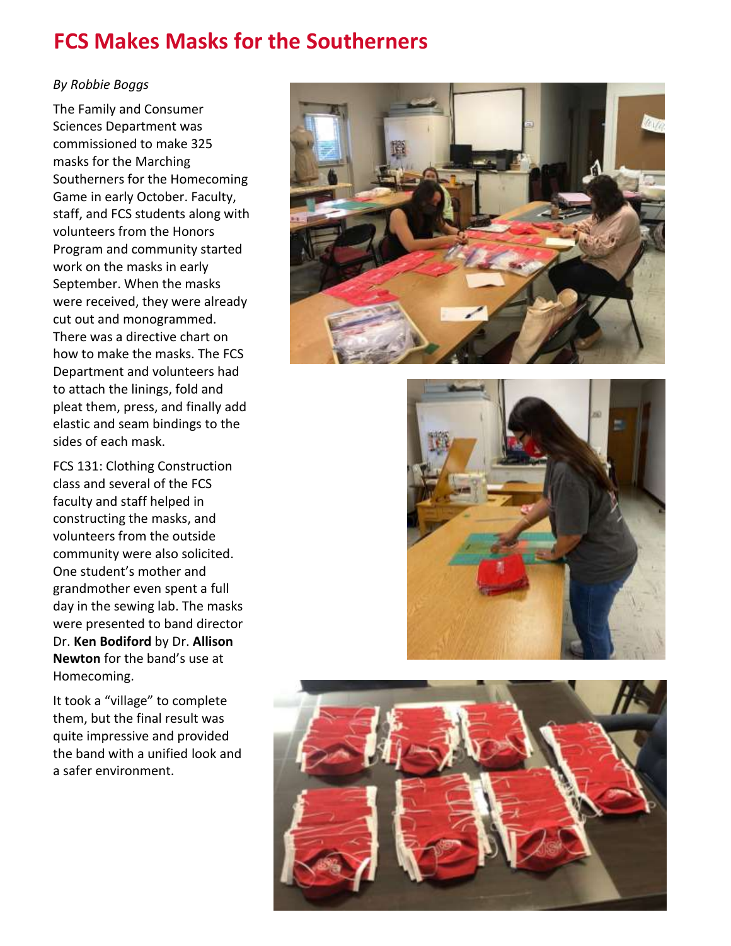# **FCS Makes Masks for the Southerners**

#### *By Robbie Boggs*

The Family and Consumer Sciences Department was commissioned to make 325 masks for the Marching Southerners for the Homecoming Game in early October. Faculty, staff, and FCS students along with volunteers from the Honors Program and community started work on the masks in early September. When the masks were received, they were already cut out and monogrammed. There was a directive chart on how to make the masks. The FCS Department and volunteers had to attach the linings, fold and pleat them, press, and finally add elastic and seam bindings to the sides of each mask.

FCS 131: Clothing Construction class and several of the FCS faculty and staff helped in constructing the masks, and volunteers from the outside community were also solicited. One student's mother and grandmother even spent a full day in the sewing lab. The masks were presented to band director Dr. **Ken Bodiford** by Dr. **Allison Newton** for the band's use at Homecoming.

It took a "village" to complete them, but the final result was quite impressive and provided the band with a unified look and a safer environment.





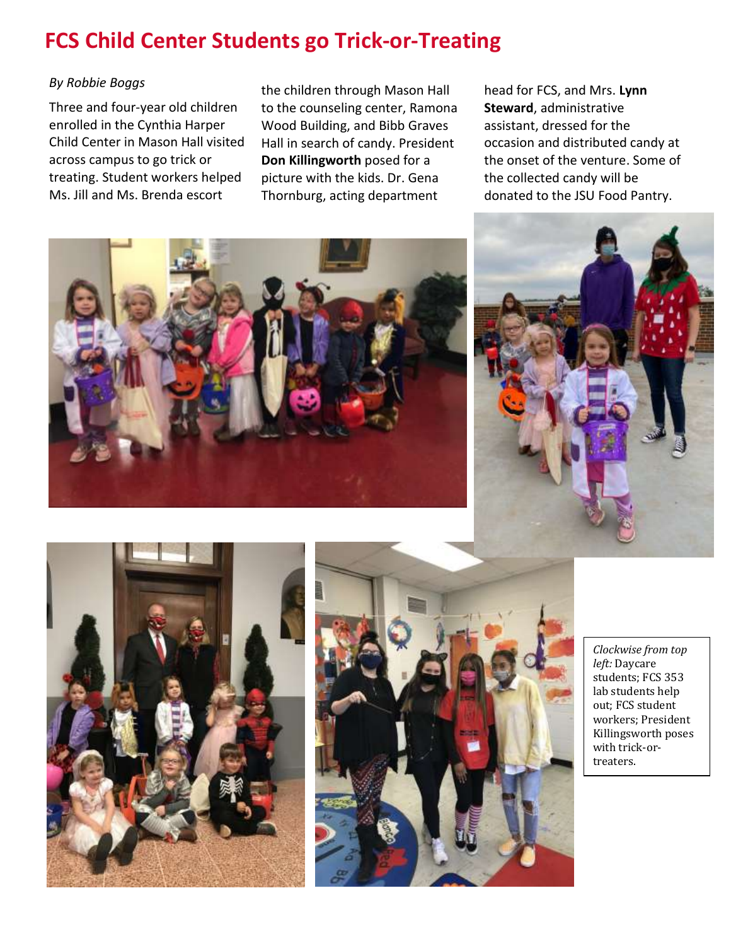# **FCS Child Center Students go Trick-or-Treating**

#### *By Robbie Boggs*

Three and four-year old children enrolled in the Cynthia Harper Child Center in Mason Hall visited across campus to go trick or treating. Student workers helped Ms. Jill and Ms. Brenda escort

the children through Mason Hall to the counseling center, Ramona Wood Building, and Bibb Graves Hall in search of candy. President **Don Killingworth** posed for a picture with the kids. Dr. Gena Thornburg, acting department

head for FCS, and Mrs. **Lynn Steward**, administrative assistant, dressed for the occasion and distributed candy at the onset of the venture. Some of the collected candy will be donated to the JSU Food Pantry.









*Clockwise from top left:* Daycare students; FCS 353 lab students help out; FCS student workers; President Killingsworth poses with trick-ortreaters.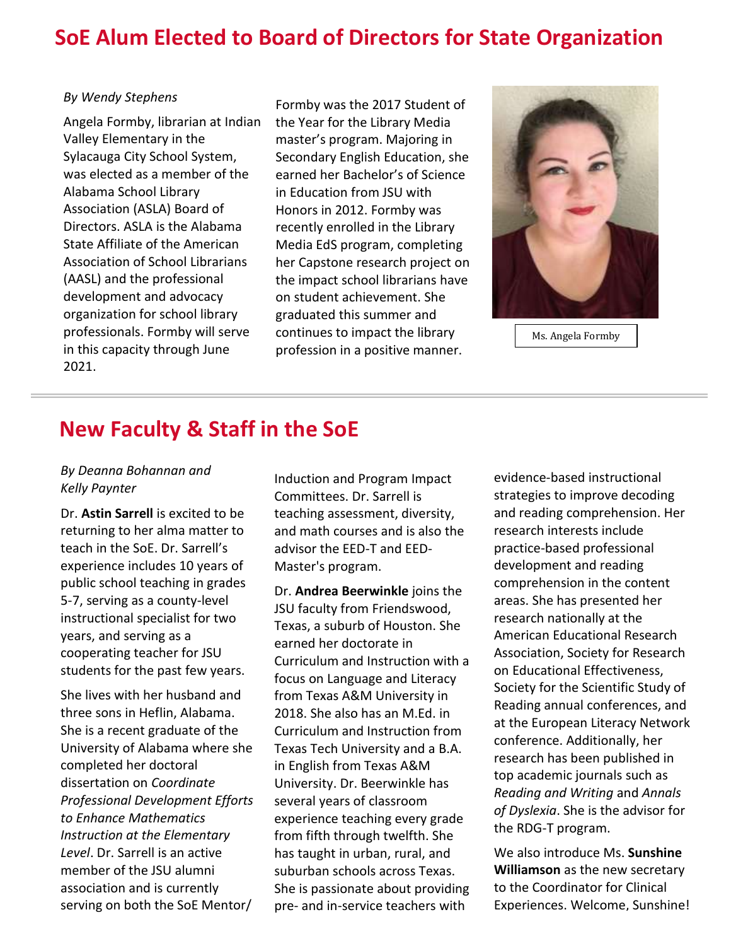# **SoE Alum Elected to Board of Directors for State Organization**

#### *By Wendy Stephens*

Angela Formby, librarian at Indian Valley Elementary in the Sylacauga City School System, was elected as a member of the Alabama School Library Association (ASLA) Board of Directors. ASLA is the Alabama State Affiliate of the American Association of School Librarians (AASL) and the professional development and advocacy organization for school library professionals. Formby will serve in this capacity through June 2021.

Formby was the 2017 Student of the Year for the Library Media master's program. Majoring in Secondary English Education, she earned her Bachelor's of Science in Education from JSU with Honors in 2012. Formby was recently enrolled in the Library Media EdS program, completing her Capstone research project on the impact school librarians have on student achievement. She graduated this summer and continues to impact the library profession in a positive manner.



Ms. Angela Formby

### **New Faculty & Staff in the SoE**

#### *By Deanna Bohannan and Kelly Paynter*

Dr. **Astin Sarrell** is excited to be returning to her alma matter to teach in the SoE. Dr. Sarrell's experience includes 10 years of public school teaching in grades 5-7, serving as a county-level instructional specialist for two years, and serving as a cooperating teacher for JSU students for the past few years.

She lives with her husband and three sons in Heflin, Alabama. She is a recent graduate of the University of Alabama where she completed her doctoral dissertation on *Coordinate Professional Development Efforts to Enhance Mathematics Instruction at the Elementary Level*. Dr. Sarrell is an active member of the JSU alumni association and is currently serving on both the SoE Mentor/

Induction and Program Impact Committees. Dr. Sarrell is teaching assessment, diversity, and math courses and is also the advisor the EED-T and EED-Master's program.

Dr. **Andrea Beerwinkle** joins the JSU faculty from Friendswood, Texas, a suburb of Houston. She earned her doctorate in Curriculum and Instruction with a focus on Language and Literacy from Texas A&M University in 2018. She also has an M.Ed. in Curriculum and Instruction from Texas Tech University and a B.A. in English from Texas A&M University. Dr. Beerwinkle has several years of classroom experience teaching every grade from fifth through twelfth. She has taught in urban, rural, and suburban schools across Texas. She is passionate about providing pre- and in-service teachers with

evidence-based instructional strategies to improve decoding and reading comprehension. Her research interests include practice-based professional development and reading comprehension in the content areas. She has presented her research nationally at the American Educational Research Association, Society for Research on Educational Effectiveness, Society for the Scientific Study of Reading annual conferences, and at the European Literacy Network conference. Additionally, her research has been published in top academic journals such as *Reading and Writing* and *Annals of Dyslexia*. She is the advisor for the RDG-T program.

We also introduce Ms. **Sunshine Williamson** as the new secretary to the Coordinator for Clinical Experiences. Welcome, Sunshine!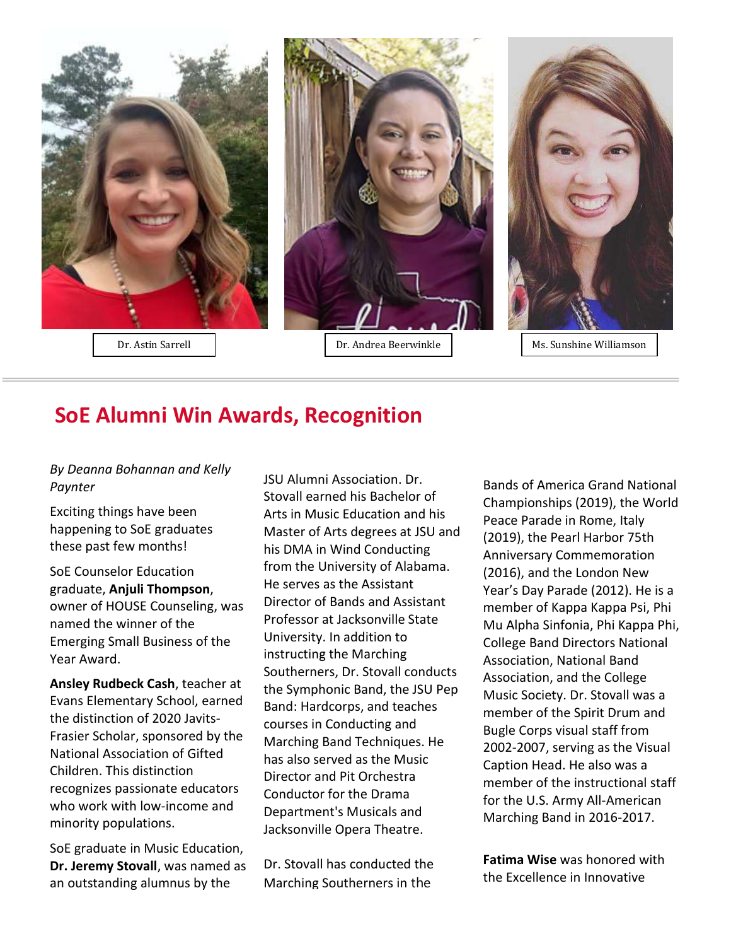

### **SoE Alumni Win Awards, Recognition**

#### *By Deanna Bohannan and Kelly Paynter*

Exciting things have been happening to SoE graduates these past few months!

SoE Counselor Education graduate, **Anjuli Thompson**, owner of HOUSE Counseling, was named the winner of the Emerging Small Business of the Year Award.

**Ansley Rudbeck Cash**, teacher at Evans Elementary School, earned the distinction of 2020 Javits-Frasier Scholar, sponsored by the National Association of Gifted Children. This distinction recognizes passionate educators who work with low-income and minority populations.

SoE graduate in Music Education, **Dr. Jeremy Stovall**, was named as an outstanding alumnus by the

JSU Alumni Association. Dr. Stovall earned his Bachelor of Arts in Music Education and his Master of Arts degrees at JSU and his DMA in Wind Conducting from the University of Alabama. He serves as the Assistant Director of Bands and Assistant Professor at Jacksonville State University. In addition to instructing the Marching Southerners, Dr. Stovall conducts the Symphonic Band, the JSU Pep Band: Hardcorps, and teaches courses in Conducting and Marching Band Techniques. He has also served as the Music Director and Pit Orchestra Conductor for the Drama Department's Musicals and Jacksonville Opera Theatre.

Dr. Stovall has conducted the Marching Southerners in the

Bands of America Grand National Championships (2019), the World Peace Parade in Rome, Italy (2019), the Pearl Harbor 75th Anniversary Commemoration (2016), and the London New Year's Day Parade (2012). He is a member of Kappa Kappa Psi, Phi Mu Alpha Sinfonia, Phi Kappa Phi, College Band Directors National Association, National Band Association, and the College Music Society. Dr. Stovall was a member of the Spirit Drum and Bugle Corps visual staff from 2002-2007, serving as the Visual Caption Head. He also was a member of the instructional staff for the U.S. Army All-American Marching Band in 2016-2017.

**Fatima Wise** was honored with the Excellence in Innovative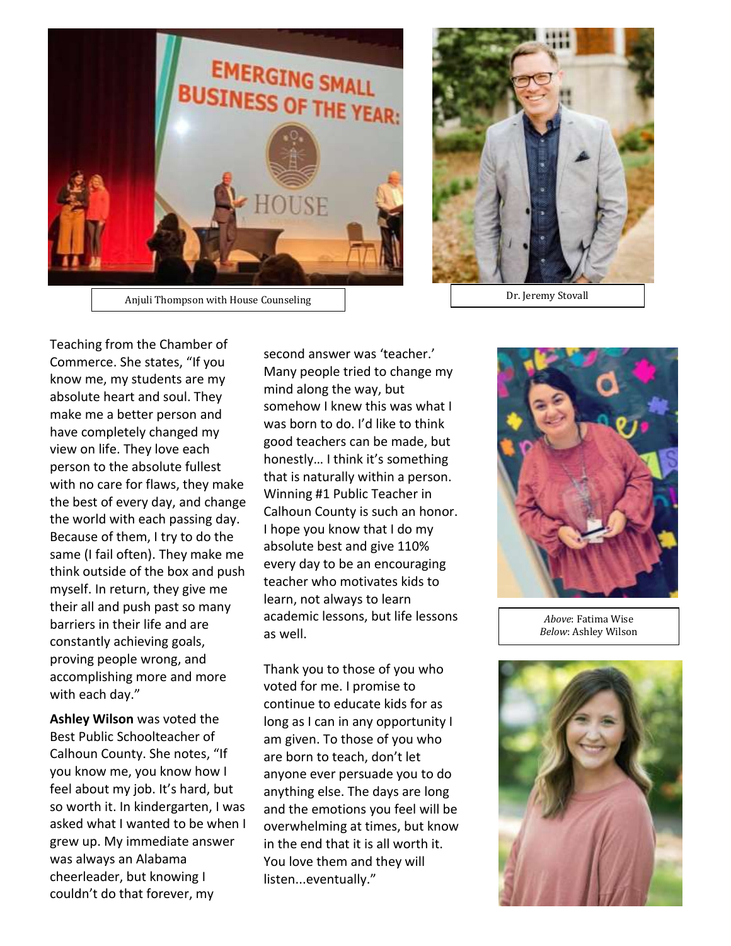



Anjuli Thompson with House Counseling Number 2012 1 2013 1 2014 1 Dr. Jeremy Stovall

Teaching from the Chamber of Commerce. She states, "If you know me, my students are my absolute heart and soul. They make me a better person and have completely changed my view on life. They love each person to the absolute fullest with no care for flaws, they make the best of every day, and change the world with each passing day. Because of them, I try to do the same (I fail often). They make me think outside of the box and push myself. In return, they give me their all and push past so many barriers in their life and are constantly achieving goals, proving people wrong, and accomplishing more and more with each day."

**Ashley Wilson** was voted the Best Public Schoolteacher of Calhoun County. She notes, "If you know me, you know how I feel about my job. It's hard, but so worth it. In kindergarten, I was asked what I wanted to be when I grew up. My immediate answer was always an Alabama cheerleader, but knowing I couldn't do that forever, my

second answer was 'teacher.' Many people tried to change my mind along the way, but somehow I knew this was what I was born to do. I'd like to think good teachers can be made, but honestly… I think it's something that is naturally within a person. Winning #1 Public Teacher in Calhoun County is such an honor. I hope you know that I do my absolute best and give 110% every day to be an encouraging teacher who motivates kids to learn, not always to learn academic lessons, but life lessons as well.

Thank you to those of you who voted for me. I promise to continue to educate kids for as long as I can in any opportunity I am given. To those of you who are born to teach, don't let anyone ever persuade you to do anything else. The days are long and the emotions you feel will be overwhelming at times, but know in the end that it is all worth it. You love them and they will listen...eventually."



*Above*: Fatima Wise *Below*: Ashley Wilson